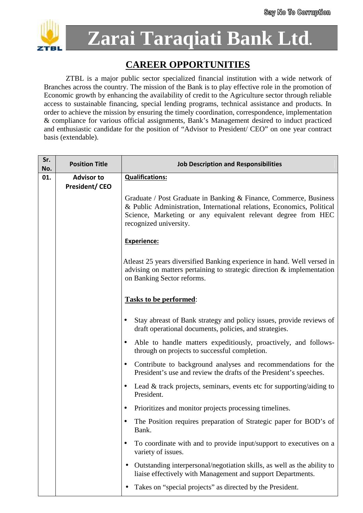

**Zarai Taraqiati Bank Ltd.**

## **CAREER OPPORTUNITIES**

ZTBL is a major public sector specialized financial institution with a wide network of Branches across the country. The mission of the Bank is to play effective role in the promotion of Economic growth by enhancing the availability of credit to the Agriculture sector through reliable access to sustainable financing, special lending programs, technical assistance and products. In order to achieve the mission by ensuring the timely coordination, correspondence, implementation & compliance for various official assignments, Bank's Management desired to induct practiced and enthusiastic candidate for the position of "Advisor to President/ CEO" on one year contract basis (extendable).

| Sr.<br>No. | <b>Position Title</b>                     | <b>Job Description and Responsibilities</b>                                                                                                                                                                                            |
|------------|-------------------------------------------|----------------------------------------------------------------------------------------------------------------------------------------------------------------------------------------------------------------------------------------|
| 01.        | <b>Advisor to</b><br><b>President/CEO</b> | <b>Qualifications:</b>                                                                                                                                                                                                                 |
|            |                                           | Graduate / Post Graduate in Banking & Finance, Commerce, Business<br>& Public Administration, International relations, Economics, Political<br>Science, Marketing or any equivalent relevant degree from HEC<br>recognized university. |
|            |                                           | <b>Experience:</b>                                                                                                                                                                                                                     |
|            |                                           | Atleast 25 years diversified Banking experience in hand. Well versed in<br>advising on matters pertaining to strategic direction & implementation<br>on Banking Sector reforms.                                                        |
|            |                                           | Tasks to be performed:                                                                                                                                                                                                                 |
|            |                                           | Stay abreast of Bank strategy and policy issues, provide reviews of<br>draft operational documents, policies, and strategies.                                                                                                          |
|            |                                           | Able to handle matters expeditiously, proactively, and follows-<br>through on projects to successful completion.                                                                                                                       |
|            |                                           | Contribute to background analyses and recommendations for the<br>President's use and review the drafts of the President's speeches.                                                                                                    |
|            |                                           | Lead & track projects, seminars, events etc for supporting/aiding to<br>President.                                                                                                                                                     |
|            |                                           | Prioritizes and monitor projects processing timelines.<br>$\bullet$                                                                                                                                                                    |
|            |                                           | The Position requires preparation of Strategic paper for BOD's of<br>Bank.                                                                                                                                                             |
|            |                                           | To coordinate with and to provide input/support to executives on a<br>$\bullet$<br>variety of issues.                                                                                                                                  |
|            |                                           | Outstanding interpersonal/negotiation skills, as well as the ability to<br>liaise effectively with Management and support Departments.                                                                                                 |
|            |                                           | Takes on "special projects" as directed by the President.                                                                                                                                                                              |